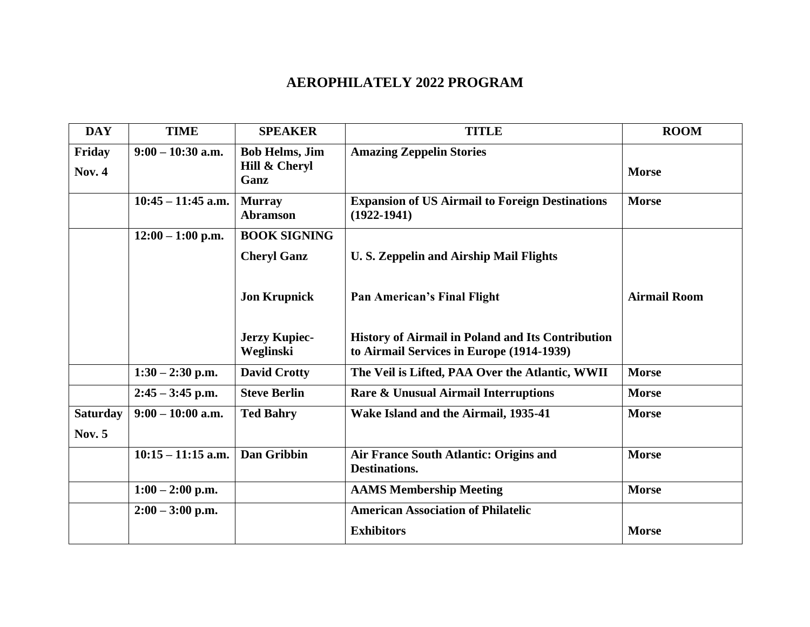## **AEROPHILATELY 2022 PROGRAM**

| <b>DAY</b>                       | <b>TIME</b>          | <b>SPEAKER</b>                                 | <b>TITLE</b>                                                                                          | <b>ROOM</b>         |
|----------------------------------|----------------------|------------------------------------------------|-------------------------------------------------------------------------------------------------------|---------------------|
| Friday<br><b>Nov. 4</b>          | $9:00 - 10:30$ a.m.  | <b>Bob Helms, Jim</b><br>Hill & Cheryl<br>Ganz | <b>Amazing Zeppelin Stories</b>                                                                       | <b>Morse</b>        |
|                                  | $10:45 - 11:45$ a.m. | <b>Murray</b><br><b>Abramson</b>               | <b>Expansion of US Airmail to Foreign Destinations</b><br>$(1922 - 1941)$                             | <b>Morse</b>        |
|                                  | $12:00 - 1:00$ p.m.  | <b>BOOK SIGNING</b>                            |                                                                                                       |                     |
|                                  |                      | <b>Cheryl Ganz</b>                             | <b>U.S. Zeppelin and Airship Mail Flights</b>                                                         |                     |
|                                  |                      | <b>Jon Krupnick</b>                            | <b>Pan American's Final Flight</b>                                                                    | <b>Airmail Room</b> |
|                                  |                      | <b>Jerzy Kupiec-</b><br>Weglinski              | <b>History of Airmail in Poland and Its Contribution</b><br>to Airmail Services in Europe (1914-1939) |                     |
|                                  | $1:30 - 2:30$ p.m.   | <b>David Crotty</b>                            | The Veil is Lifted, PAA Over the Atlantic, WWII                                                       | <b>Morse</b>        |
|                                  | $2:45 - 3:45$ p.m.   | <b>Steve Berlin</b>                            | Rare & Unusual Airmail Interruptions                                                                  | <b>Morse</b>        |
| <b>Saturday</b><br><b>Nov. 5</b> | $9:00 - 10:00$ a.m.  | <b>Ted Bahry</b>                               | Wake Island and the Airmail, 1935-41                                                                  | <b>Morse</b>        |
|                                  | $10:15 - 11:15$ a.m. | <b>Dan Gribbin</b>                             | Air France South Atlantic: Origins and<br><b>Destinations.</b>                                        | <b>Morse</b>        |
|                                  | $1:00 - 2:00$ p.m.   |                                                | <b>AAMS Membership Meeting</b>                                                                        | <b>Morse</b>        |
|                                  | $2:00 - 3:00$ p.m.   |                                                | <b>American Association of Philatelic</b>                                                             |                     |
|                                  |                      |                                                | <b>Exhibitors</b>                                                                                     | <b>Morse</b>        |